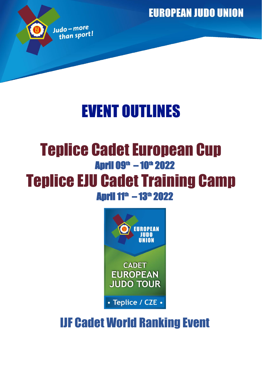**EUROPEAN JUDO UNION** 



# EVENT OUTLINES

## Teplice Cadet European Cup April 09<sup>th</sup> – 10<sup>th</sup> 2022 Teplice EJU Cadet Training Camp **April 11<sup>th</sup> – 13<sup>th</sup> 2022**



## IJF Cadet World Ranking Event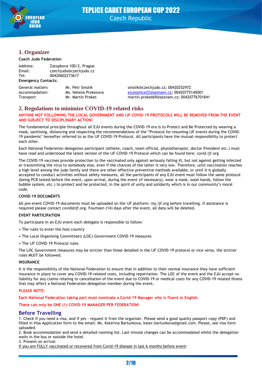

### **1. Organizer**

#### **Czech Judo Federation**

| Address: | Zatopkova 100/2, Prague |
|----------|-------------------------|
| Email:   | czechjudo@czechjudo.cz  |
| Tel:     | 00420602273617          |

#### **Emergency Contacts:**

| General matters | Mr. Petr Smolik     |
|-----------------|---------------------|
| Accommodation:  | Ms. Helena Prokesov |
| Transport       | Mr. Martin Prokes   |

smolik@czechjudo.cz; 00420252972 accommodation: Maccommodation: Maccommodation: <mark>[ejuteplice22@seznam.cz;](mailto:ejuteplice22@seznam.cz) 00420775145001</mark> martin-prokes69@seznam.cz; 00420776701841

### **2. Regulations to minimize COVID-19 related risks**

#### **ANYONE NOT FOLLOWING THE LOCAL GOVERNMENT AND IJF COVID-19 PROTOCOLS WILL BE REMOVED FROM THE EVENT AND SUBJECT TO DISCIPLINARY ACTION!**

The fundamental principle throughout all EJU events during the COVID-19 era is to Protect and Be Protected by wearing a mask, sanitising, distancing and respecting the recommendations of the "Protocol for resuming IJF events during the COVID-19 pandemic" hereafter referred to as the IJF COVID-19 Protocol. All participants have the mutual responsibility to protect each other.

Each National Federation delegation participant (athlete, coach, team official, physiotherapist, doctor President etc.) must have read and understood the latest version of the IJF COVID-19 Protocol which can be found here: covid.ijf.org

The COVID-19 vaccines provide protection to the vaccinated only against seriously falling ill, but not against getting infected or transmitting the virus to somebody else, even if the chances of the latter is very low. Therefore, until vaccination reaches a high level among the judo family and there are other effective preventive methods available, or until it is globally accepted to conduct activities without safety measures, all the participants of any EJU event must follow the same protocol (being PCR tested before the event, upon arrival, during the event (if necessary), wear a mask, wash hands, follow the bubble system, etc.) to protect and be protected, in the spirit of unity and solidarity which is in our community's moral code.

#### **COVID-19 DOCUMENTS**

All pre-event COVID-19 documents must be uploaded on the IJF platform: my.ijf.org before travelling. If assistance is required please contact covid@ijf.org. Fourteen (14) days after the event, all data will be deleted.

#### **EVENT PARTICIPATION**

To participate in an EJU event each delegate is responsible to follow:

- The rules to enter the host country
- The Local Organising Committee's (LOC) Government COVID-19 measures
- The IJF COVID-19 Protocol rules

The LOC Government measures may be stricter than those detailed in the IJF COVID-19 protocol or vice versa, the stricter rules MUST be followed.

#### **INSURANCE**

It is the responsibility of the National Federation to ensure that in addition to their normal insurance they have sufficient insurance in place to cover any COVID-19-related costs, including repatriation. The LOC of the event and the EJU accept no liability for any claims relating to cancellation of the event due to COVID-19 or medical costs for any COVID-19 related illness that may affect a National Federation delegation member during the event.

#### **PLEASE NOTE:**

**Each National Federation taking part must nominate a Covid-19 Manager who is fluent in English.**

#### **There can only be ONE (1) COVID-19 MANAGER PER FEDERATION!**

### **Before Travelling**

1. Check if you need a visa, and if yes - request it from the organiser. Please send a good quality passport copy (PDF) and filled in Visa Application form to the email: Ms. Katerina Bartunkova, kater.bartunkova@gmail.com. Please, see visa form uploaded.

2. Book accommodation and send a detailed rooming list. Last minute changes can be accommodated whilst the delegation waits in the bus or outside the hotel.

3. Present on arrival:

If you are FULLY vaccinated or recovered from Covid-19 disease in last 6 months before event: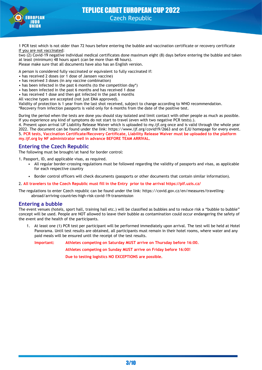

1 PCR test which is not older than 72 hours before entering the bubble and vaccination certificate or recovery certificate If you are not vaccinated:

two (2) Covid-19 negative individual medical certificates done maximum eight (8) days before entering the bubble and taken at least (minimum) 48 hours apart (can be more than 48 hours). Please make sure that all documents have also has an English version.

A person is considered fully vaccinated or equivalent to fully vaccinated if:

- has received 2 doses (or 1 dose of Janssen vaccine)
- has received 3 doses (in any vaccine combination)
- has been infected in the past 6 months (to the competition day\*)
- has been infected in the past 6 months and has received 1 dose
- has received 1 dose and then got infected in the past 6 months
- All vaccine types are accepted (not just EMA approved).

Validity of protection is 1 year from the last shot received, subject to change according to WHO recommendation. \*Recovery from infection passports is valid only for 6 months from the date of the positive test.

During the period when the tests are done you should stay isolated and limit contact with other people as much as possible. If you experience any kind of symptoms do not start to travel (even with two negative PCR tests).).

4. Present upon arrival IJF Liability Release Waiver which is uploaded to my.ijf.org once and is valid through the whole year 2022. The document can be found under the link: https://www.ijf.org/covid19/2663 and on EJU homepage for every event. 5. **PCR tests, Vaccination Certificate/Recovery Certificate, Liability Release Waiver must be uploaded to the platform my.ijf.org by NF administrator well in advance BEFORE TEAM ARRIVAL.**

### **Entering the Czech Republic**

The following must be brought/at hand for border control:

1. Passport, ID, and applicable visas, as required.

- All regular border-crossing regulations must be followed regarding the validity of passports and visas, as applicable for each respective country
- Border control officers will check documents (passports or other documents that contain similar information).

2. **All travelers to the Czech Republic must fill in the Entry prior to the arrival https://plf.uzis.cz/**

The regulations to enter Czech republic can be found under the link: https://covid.gov.cz/en/measures/travellingabroad/arriving-countries-high-risk-covid-19-transmission

### **Entering a bubble**

The event venues (hotels, sport hall, training hall etc.) will be classified as bubbles and to reduce risk a "bubble to bubble" concept will be used. People are NOT allowed to leave their bubble as contamination could occur endangering the safety of the event and the health of the participants.

1. At least one (1) PCR test per participant will be performed immediately upon arrival. The test will be held at Hotel Panorama. Until test results are obtained, all participants must remain in their hotel rooms, where water and any paid meals will be ensured until the receipt of the test results.

**Important: Athletes competing on Saturday MUST arrive on Thursday before 16:00.**

**Athletes competing on Sunday MUST arrive on Friday before 16:00!**

**Due to testing logistics NO EXCEPTIONS are possible.**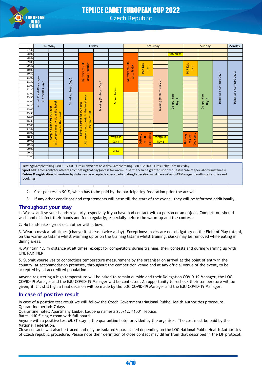

|                | Thursday                                                                                                                                          |                                      | Friday                 |                                         |                        |                  | Saturday                         |                                          |                         | Sunday                                                                                                                                             |                                  |              | Monday                   |                          |
|----------------|---------------------------------------------------------------------------------------------------------------------------------------------------|--------------------------------------|------------------------|-----------------------------------------|------------------------|------------------|----------------------------------|------------------------------------------|-------------------------|----------------------------------------------------------------------------------------------------------------------------------------------------|----------------------------------|--------------|--------------------------|--------------------------|
| 07:30          |                                                                                                                                                   |                                      |                        |                                         |                        |                  |                                  |                                          |                         |                                                                                                                                                    |                                  |              |                          |                          |
| 08:00          |                                                                                                                                                   |                                      |                        |                                         |                        |                  |                                  |                                          |                         | <b>Ref. Meet</b>                                                                                                                                   |                                  |              |                          |                          |
| 08:30          |                                                                                                                                                   |                                      |                        |                                         |                        |                  |                                  |                                          |                         |                                                                                                                                                    |                                  |              |                          |                          |
| 09:00          |                                                                                                                                                   |                                      |                        |                                         |                        |                  |                                  |                                          |                         |                                                                                                                                                    |                                  |              |                          |                          |
| 09:30          |                                                                                                                                                   |                                      |                        | results                                 |                        |                  |                                  | test                                     |                         |                                                                                                                                                    | test                             |              |                          |                          |
| 10:00          |                                                                                                                                                   |                                      |                        | tests Thursday                          |                        |                  | Delivery results<br>tests Friday | PCR Exit-                                |                         |                                                                                                                                                    | PCR Exit-                        |              |                          |                          |
| 10:30          |                                                                                                                                                   |                                      |                        | Delivery                                |                        |                  |                                  |                                          |                         |                                                                                                                                                    |                                  |              |                          |                          |
| 11:00          |                                                                                                                                                   |                                      |                        |                                         |                        |                  |                                  |                                          |                         |                                                                                                                                                    |                                  |              |                          |                          |
| 11:30          |                                                                                                                                                   |                                      |                        |                                         | $\hat{=}$              |                  |                                  |                                          | $\widehat{\mathcal{L}}$ |                                                                                                                                                    |                                  |              |                          |                          |
| 12:00          |                                                                                                                                                   |                                      |                        |                                         |                        |                  |                                  |                                          |                         |                                                                                                                                                    |                                  |              |                          |                          |
| 12:30          |                                                                                                                                                   |                                      |                        |                                         |                        |                  |                                  |                                          |                         |                                                                                                                                                    |                                  |              |                          |                          |
| 13:00          | Atheltes Day 1                                                                                                                                    |                                      |                        |                                         |                        |                  |                                  |                                          |                         |                                                                                                                                                    |                                  |              |                          |                          |
| 13:30          |                                                                                                                                                   |                                      |                        |                                         |                        |                  |                                  |                                          |                         |                                                                                                                                                    |                                  | $\mathbf{z}$ | Departure Athletes Day 1 | Departure Athletes Day 2 |
| 14:00          | Arrival Covid-19 Manager<br>$\mathbf{d}$                                                                                                          |                                      | Arrival Athletes Day 2 |                                         |                        | Accreditation    |                                  |                                          |                         | Day                                                                                                                                                |                                  | Day          |                          |                          |
| 14:30          |                                                                                                                                                   |                                      |                        |                                         | Training (Athletes Day |                  |                                  |                                          | Training (Athletes Day  | Competition                                                                                                                                        |                                  | Competition  |                          |                          |
| 15:00          |                                                                                                                                                   |                                      |                        |                                         |                        |                  |                                  |                                          |                         |                                                                                                                                                    |                                  |              |                          |                          |
| 15:30          |                                                                                                                                                   | <b>PCR</b> test                      |                        | for PCR test                            |                        |                  |                                  |                                          |                         |                                                                                                                                                    |                                  |              |                          |                          |
| 16:00          |                                                                                                                                                   | $\overline{5}$                       |                        |                                         |                        |                  |                                  |                                          |                         |                                                                                                                                                    |                                  |              |                          |                          |
| 16:30          |                                                                                                                                                   | must wait in the hotel<br>the result |                        | for the result<br>taking                |                        |                  |                                  |                                          |                         |                                                                                                                                                    |                                  |              |                          |                          |
| 17:00          |                                                                                                                                                   | taking                               |                        |                                         |                        |                  |                                  |                                          |                         |                                                                                                                                                    |                                  |              |                          |                          |
| 17:30          |                                                                                                                                                   | room for                             |                        | Sample                                  |                        |                  |                                  |                                          |                         |                                                                                                                                                    |                                  |              |                          |                          |
| 18:00          |                                                                                                                                                   | persons<br>Sample                    |                        | All persons must wait in the hotel room |                        |                  |                                  |                                          |                         |                                                                                                                                                    |                                  |              |                          |                          |
| 18:30          |                                                                                                                                                   |                                      |                        |                                         |                        | Weigh-in         |                                  | Exit tests<br><b>Delivery</b><br>results | Weigh-in                |                                                                                                                                                    | Departure<br>Delivery<br>results |              |                          |                          |
| 19:00          |                                                                                                                                                   | $\overline{4}$                       |                        |                                         |                        | Dav <sub>1</sub> |                                  |                                          | Day 2                   |                                                                                                                                                    |                                  |              |                          |                          |
| 19:30<br>20:00 |                                                                                                                                                   |                                      |                        |                                         |                        |                  |                                  |                                          |                         |                                                                                                                                                    |                                  |              |                          |                          |
| 20:30          |                                                                                                                                                   |                                      |                        |                                         |                        | <b>Draw</b>      |                                  |                                          |                         |                                                                                                                                                    |                                  |              |                          |                          |
| 21:00          |                                                                                                                                                   |                                      |                        |                                         |                        |                  |                                  |                                          |                         |                                                                                                                                                    |                                  |              |                          |                          |
|                |                                                                                                                                                   |                                      |                        |                                         |                        |                  |                                  |                                          |                         |                                                                                                                                                    |                                  |              |                          |                          |
|                |                                                                                                                                                   |                                      |                        |                                         |                        |                  |                                  |                                          |                         |                                                                                                                                                    |                                  |              |                          |                          |
|                |                                                                                                                                                   |                                      |                        |                                         |                        |                  |                                  |                                          |                         | Testing: Sample taking 14:00 - 17:00 --> result by 8 am next day, Sample taking 17:00 - 20:00 --> result by 1 pm next day                          |                                  |              |                          |                          |
|                | Sport hall: access only for athletes competing that day (access for warm-up partner can be granted upon request in case of special circumstances) |                                      |                        |                                         |                        |                  |                                  |                                          |                         |                                                                                                                                                    |                                  |              |                          |                          |
|                |                                                                                                                                                   |                                      |                        |                                         |                        |                  |                                  |                                          |                         | Entries & registration: No entries by clubs can be accepted - every participating Federation must have a Covid-19 Manager handling all entries and |                                  |              |                          |                          |
| bookings!      |                                                                                                                                                   |                                      |                        |                                         |                        |                  |                                  |                                          |                         |                                                                                                                                                    |                                  |              |                          |                          |
|                |                                                                                                                                                   |                                      |                        |                                         |                        |                  |                                  |                                          |                         |                                                                                                                                                    |                                  |              |                          |                          |
|                |                                                                                                                                                   |                                      |                        |                                         |                        |                  |                                  |                                          |                         |                                                                                                                                                    |                                  |              |                          |                          |

- 2. Cost per test is 90  $\epsilon$ , which has to be paid by the participating federation prior the arrival.
- 3. If any other conditions and requirements will arise till the start of the event they will be informed additionally.

### **Throughout your stay**

1. Wash/sanitise your hands regularly, especially if you have had contact with a person or an object. Competitors should wash and disinfect their hands and feet regularly, especially before the warm-up and the contest.

2. No handshake - greet each other with a bow.

3. Wear a mask at all times (change it at least twice a day). Exceptions: masks are not obligatory on the Field of Play tatami, on the warm-up tatami whilst warming up or on the training tatami whilst training. Masks may be removed while eating in dining areas.

4. Maintain 1.5 m distance at all times, except for competitors during training, their contests and during warming up with ONE PARTNER.

5. Submit yourselves to contactless temperature measurement by the organiser on arrival at the point of entry in the country, at accommodation premises, throughout the competition venue and at any official venue of the event, to be accepted by all accredited population.

Anyone registering a high temperature will be asked to remain outside and their Delegation COVID-19 Manager, the LOC COVID-19 Manager and the EJU COVID-19 Manager will be contacted. An opportunity to recheck their temperature will be given, if it is still high a final decision will be made by the LOC COVID-19 Manager and the EJU COVID-19 Manager.

### **In case of positive result**

In case of a positive test result we will follow the Czech Government/National Public Health Authorities procedure. Quarantine period: 7 days

Quarantine hotel: Apartmany Laube, Laubeho namesti 255/12, 41501 Teplice.

Rates: 110 € single room with full board.

Anyone with a positive test MUST stay in the quarantine hotel provided by the organiser. The cost must be paid by the National Federation.

Close contacts will also be traced and may be isolated/quarantined depending on the LOC National Public Health Authorities of Czech republic procedure. Please note their definition of close contact may differ from that described in the IJF protocol.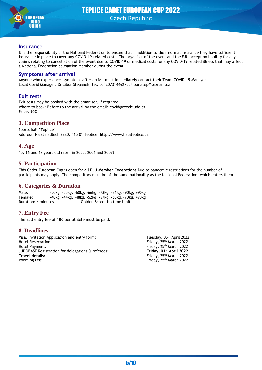

#### **Insurance**

It is the responsibility of the National Federation to ensure that in addition to their normal insurance they have sufficient insurance in place to cover any COVID-19-related costs. The organiser of the event and the EJU accept no liability for any claims relating to cancellation of the event due to COVID-19 or medical costs for any COVID-19 related illness that may affect a National Federation delegation member during the event.

### **Symptoms after arrival**

Anyone who experiences symptoms after arrival must immediately contact their Team COVID-19 Manager Local Covid Manager: Dr Libor Stepanek; tel: 00420731446275; libor.step@seznam.cz

### **Exit tests**

Exit tests may be booked with the organiser, if required. Where to book: Before to the arrival by the email: covid@czechjudo.cz. Price: 90€

### **3. Competition Place**

Sports hall "Teplice" Address: Na Stínadlech 3280, 415 01 Teplice; http://www.halateplice.cz

### **4. Age**

15, 16 and 17 years old (Born in 2005, 2006 and 2007)

### **5. Participation**

This Cadet European Cup is open for **all EJU Member Federations** Due to pandemic restrictions for the number of participants may apply. The competitors must be of the same nationality as the National Federation, which enters them.

### **6. Categories & Duration**

Male: -50kg, -55kg, -60kg, -66kg, -73kg, -81kg, -90kg, +90kg Female: -40kg, -44kg, -48kg, -52kg, -57kg, -63kg, -70kg, +70kg Duration: 4 minutes Golden Score: No time limit

### **7. Entry Fee**

The EJU entry fee of **10€** per athlete must be paid.

### **8. Deadlines**

Visa, Invitation Application and entry form: Tuesday, 05<sup>th</sup> April 2022 Hotel Reservation: Entity Reservation: Entity Reservation: Entity Reservation: Hotel Payment: Friday, 25th March 2022 JUDOBASE Registration for delegations & referees: **st April 2022 Travel details:** Friday, 25<sup>th</sup> March 2022 Rooming List: Friday, 25<sup>th</sup> March 2022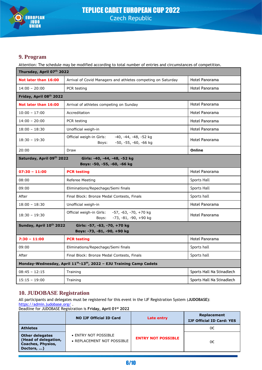

### **9. Program**

Attention: The schedule may be modified according to total number of entries and circumstances of competition.

| Thursday, April 07th 2022                                                                    |                                                                                                       |                           |  |  |
|----------------------------------------------------------------------------------------------|-------------------------------------------------------------------------------------------------------|---------------------------|--|--|
| Not later than 16:00                                                                         | Hotel Panorama<br>Arrival of Covid Managers and athletes competing on Saturday                        |                           |  |  |
| $14:00 - 20:00$                                                                              | Hotel Panorama<br>PCR testing                                                                         |                           |  |  |
| Friday, April 08th 2022                                                                      |                                                                                                       |                           |  |  |
| Not later than 16:00                                                                         | Arrival of athletes competing on Sunday                                                               | Hotel Panorama            |  |  |
| $10:00 - 17:00$                                                                              | Accreditation                                                                                         | Hotel Panorama            |  |  |
| $14:00 - 20:00$                                                                              | PCR testing                                                                                           | <b>Hotel Panorama</b>     |  |  |
| $18:00 - 18:30$                                                                              | Unofficial weigh-in                                                                                   | Hotel Panorama            |  |  |
| $18:30 - 19:30$                                                                              | Official weigh-in Girls:<br>-40, -44, -48, -52 kg<br>Hotel Panorama<br>-50, -55, -60, -66 kg<br>Boys: |                           |  |  |
| 20:00                                                                                        | Draw                                                                                                  | Online                    |  |  |
| Saturday, April 09th 2022<br>Girls: -40, -44, -48, -52 kg<br>Boys: -50, -55, -60, -66 kg     |                                                                                                       |                           |  |  |
| $07:30 - 11:00$                                                                              | <b>PCR testing</b>                                                                                    | Hotel Panorama            |  |  |
| 08:00                                                                                        | Referee Meeting                                                                                       | Sports Hall               |  |  |
| 09:00                                                                                        | Eliminations/Repechage/Semi finals<br><b>Sports Hall</b>                                              |                           |  |  |
| After                                                                                        | Final Block: Bronze Medal Contests, Finals                                                            | Sports hall               |  |  |
| $18:00 - 18:30$                                                                              | Unofficial weigh-in                                                                                   | Hotel Panorama            |  |  |
| $18:30 - 19:30$                                                                              | Official weigh-in Girls:<br>$-57, -63, -70, +70$ kg<br>-73, -81, -90, +90 kg<br>Boys:                 | Hotel Panorama            |  |  |
| Sunday, April 10th 2022<br>Girls: -57, -63, -70, +70 kg<br>Boys: -73, -81, -90, +90 kg       |                                                                                                       |                           |  |  |
| $7:30 - 11:00$                                                                               | <b>PCR testing</b>                                                                                    | Hotel Panorama            |  |  |
| 09:00                                                                                        | Sports hall<br>Eliminations/Repechage/Semi finals                                                     |                           |  |  |
| After                                                                                        | Final Block: Bronze Medal Contests, Finals                                                            | Sports hall               |  |  |
| Monday-Wednesday, April 11 <sup>th</sup> -13 <sup>th</sup> , 2022 - EJU Training Camp Cadets |                                                                                                       |                           |  |  |
| $08:45 - 12:15$                                                                              | Training                                                                                              | Sports Hall Na Stinadlech |  |  |
| $15:15 - 19:00$                                                                              | Training                                                                                              | Sports Hall Na Stinadlech |  |  |

### **10. JUDOBASE Registration**

All participants and delegates must be registered for this event in the IJF Registration System (**JUDOBASE)**: <https://admin.judobase.org/>

Deadline for JUDOBASE Registration is **Friday, April 01 st 2022**

|                                                                                          | <b>NO IJF Official ID Card</b>                     | Late entry                | Replacement<br><b>IJF Official ID Card: YES</b> |
|------------------------------------------------------------------------------------------|----------------------------------------------------|---------------------------|-------------------------------------------------|
| <b>Athletes</b>                                                                          |                                                    |                           | 0€                                              |
| <b>Other delegates</b><br>(Head of delegation,<br><b>Coaches, Physios,</b><br>Doctors, ) | • ENTRY NOT POSSIBLE<br>• REPLACEMENT NOT POSSIBLE | <b>ENTRY NOT POSSIBLE</b> | 0€                                              |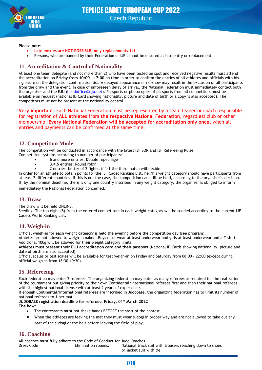

#### **Please note:**

- **Late entries are NOT POSSIBLE, only replacements 1:1.**
- Persons, who are banned by their Federation or IJF cannot be entered as late entry or replacement.

### **11. Accreditation & Control of Nationality**

At least one team delegate (and not more than 2) who have been tested on spot and received negative results must attend the accreditation on **Friday from 10:00 – 17:00** on time in order to confirm the entries of all athletes and officials with his signature on the delegation confirmation list. A delayed appearance or no-show may result in the exclusion of all participants from the draw and the event. In case of unforeseen delay of arrival, the National Federation must immediately contact both the organiser and the EJU [\(headoffice@eju.net\)](mailto:headoffice@eju.net). Passports or photocopies of passports from all competitors must be available on request (national ID Card showing nationality, picture and date of birth or a copy is also accepted). The competitors must not be present at the nationality control.

**Very important:** Each National Federation must be represented by a team leader or coach responsible for registration of **ALL athletes from the respective National Federation**, regardless club or other membership. **Every National Federation will be accepted for accreditation only once**, when all entries and payments can be confirmed at the same time.

### **12. Competition Mode**

The competition will be conducted in accordance with the latest IJF SOR and IJF Refereeing Rules.

- Competition systems according to number of participants:
	- 6 and more entries: Double repechage • 3,4,5 entries: Round robin
	- 2 entries: better of 2 fights, if 1-1 the third match will decide

In order for an athlete to obtain points for the IJF Cadet Ranking List, her/his weight category should have participants from at least 2 different countries. If this is not the case, the competition can still be held, according to the organiser's decision. If, by the nominal deadline, there is only one country inscribed in any weight category, the organiser is obliged to inform immediately the National Federation concerned.

### **13. Draw**

The draw will be held ONLINE.

Seeding: The top eight (8) from the entered competitors in each weight category will be seeded according to the current IJF Cadets World Ranking List.

### **14. Weigh-in**

Official weigh-in for each weight category is held the evening before the competition day (see program).

Athletes are not allowed to weigh-in naked. Boys must wear at least underwear and girls at least underwear and a T-shirt. Additional 100g will be allowed for their weight category limits.

**Athletes must present their EJU accreditation card and their passport** (National ID Cards showing nationality, picture and date of birth are also accepted).

Official scales or test scales will be available for test weigh-in on Friday and Saturday from 08:00 – 22:00 (except during official weigh-in from 18:30-19:30).

### **15. Refereeing**

Each federation may enter 2 referees. The organizing federation may enter as many referees as required for the realization of the tournament but giving priority to their own Continental/International referees first and then their national referees with the highest national license with at least 2 years of experience.

If enough Continental/International referees are inscribed in Judobase, the organizing federation has to limit its number of national referees to 1 per mat.

**JUDOBASE registration deadline for referees: Friday, 01 st March 2022 The bow:**

- The contestants must not shake hands BEFORE the start of the contest.
- When the athletes are leaving the mat they must wear judogi in proper way and are not allowed to take out any part of the judogi or the belt before leaving the field of play.

### **16. Coaching**

All coaches must fully adhere to the Code of Conduct for Judo Coaches. Dress Code Elimination rounds: National track suit with trousers reaching down to shoes or jacket suit with tie

7/10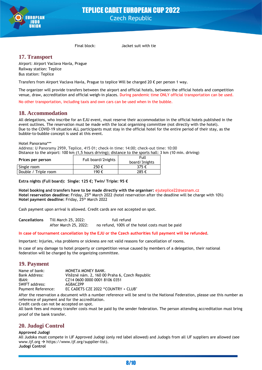

Final block: Jacket suit with tie

### **17. Transport**

Airport: Airport Vaclava Havla, Prague Railway station: Teplice Bus station: Teplice

Transfers from Airport Vaclava Havla, Prague to teplice Will be charged 20 € per person 1 way.

The organizer will provide transfers between the airport and official hotels, between the official hotels and competition venue, draw, accreditation and official weigh-in places. During pandemic time ONLY official transportation can be used.

No other transportation, including taxis and own cars can be used when in the bubble.

### **18. Accommodation**

All delegations, who inscribe for an EJU event, must reserve their accommodation in the official hotels published in the event outlines. The reservation must be made with the local organising committee (not directly with the hotel). Due to the COVID-19 situation ALL participants must stay in the official hotel for the entire period of their stay, as the bubble-to-bubble concept is used at this event.

Hotel Panorama\*\*\*

Address: U Panoramy 2959, Teplice, 415 01; check-in time: 14:00; check-out time: 10:00 Distance to the airport: 100 km (1,5 hours driving); distance to the sports hall: 3 km (10 min. driving)

| Prices per person    | Full board/2nights | Full<br>board/3nights |  |  |  |
|----------------------|--------------------|-----------------------|--|--|--|
| Single room          | 250€               | 375 €                 |  |  |  |
| Double / Triple room | 190 €              | 285€                  |  |  |  |

**Extra nights (Full board): Single: 125 €; Twin/ Triple: 95 €**

**Hotel booking and transfers have to be made directly with the organiser:** ejuteplice22@seznam.cz **Hotel reservation deadline:** Friday, 25th March 2022 (hotel reservation after the deadline will be charge with 10%) Hotel payment deadline: Friday, 25<sup>th</sup> March 2022

Cash payment upon arrival is allowed. Credit cards are not accepted on spot.

**Cancellations** Till March 25, 2022: full refund After March 25, 2022: no refund, 100% of the hotel costs must be paid

#### **In case of tournament cancellation by the EJU or the Czech authorities full payment will be refunded**.

Important: Injuries, visa problems or sickness are not valid reasons for cancellation of rooms.

In case of any damage to hotel property or competition venue caused by members of a delegation, their national federation will be charged by the organizing committee.

### **19. Payment**

| Name of bank:      | MONETA MONEY BANK.                             |
|--------------------|------------------------------------------------|
| Bank Address:      | Vítězné nám. 2, 160 00 Praha 6, Czech Republic |
| IBAN:              | CZ14 0600 0000 0001 8106 0351                  |
| SWIFT address:     | <b>AGBACZPP</b>                                |
| Payment Reference: | EC CADETS CZE 2022 "COUNTRY + CLUB"            |

After the reservation a document with a number reference will be send to the National Federation, please use this number as reference of payment and for the accreditation.

Credit cards can not be accepted on spot.

All bank fees and money transfer costs must be paid by the sender federation. The person attending accreditation must bring proof of the bank transfer.

### **20. Judogi Control**

#### **Approved Judogi**

All Judoka must compete in IJF Approved Judogi (only red label allowed) and Judogis from all IJF suppliers are allowed (see www.ijf.org → https://www.ijf.org/supplier-list). **Judogi Control**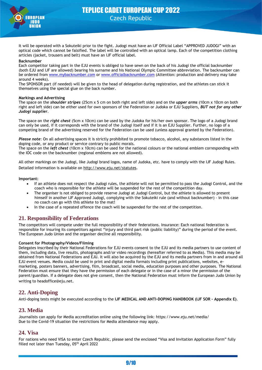

It will be operated with a Sokuteiki prior to the fight. Judogi must have an IJF Official Label "APPROVED JUDOGI" with an optical code which cannot be falsified. The label will be controlled with an optical lamp. Each of the competition clothing articles (jacket, trousers and belt) must have an IJF official label.

#### **Backnumber**

Each competitor taking part in the EJU events is obliged to have sewn on the back of his Judogi the official backnumber (both EJU and IJF are allowed) bearing his surname and his National Olympic Committee abbreviation. The backnumber can be ordered from [www.mybacknumber.com](http://www.mybacknumber.com/) or [www.officialbacknumber.com](http://www.officialbacknumber.com/) (Attention: production and delivery may take around 4 weeks).

The SPONSOR part (if needed) will be given to the head of delegation during registration, and the athletes can stick it themselves using the special glue on the back number.

#### **Markings and Advertising**

The space on the *shoulder stripes* (25cm x 5 cm on both right and left side) and on the *upper arms* (10cm x 10cm on both right and left side) can be either used for own sponsors of the Federation or Judoka or EJU Suppliers, *BUT not for any other Judogi supplier*.

The space on the *right chest* (5cm x 10cm) can be used by the Judoka for his/her own sponsor. The logo of a Judogi brand can only be used, if it corresponds with the brand of the Judogi itself and if it is an EJU Supplier. Further, no logo of a competing brand of the advertising reserved for the Federation can be used (unless approval granted by the Federation).

*Please note*: On all advertising spaces it is strictly prohibited to promote tobacco, alcohol, any substances listed in the doping code, or any product or service contrary to public morals. The space on the *left chest* (10cm x 10cm) can be used for the national colours or the national emblem corresponding with the IOC code on the backnumber (regional emblems are not allowed).

All other markings on the Judogi, like Judogi brand logos, name of Judoka, etc. have to comply with the IJF Judogi Rules. Detailed information is available on<http://www.eju.net/statutes>.

**Important:**

- If an athlete does not respect the Judogi rules, the athlete will not be permitted to pass the Judogi Control, and the coach who is responsible for the athlete will be suspended for the rest of the competition day.
- The organiser is not obliged to provide reserve Judogi at Judogi Control, but the athlete is allowed to present himself in another IJF Approved Judogi, complying with the Sokuteiki rule (and without backnumber) - in this case no coach can go with this athlete to the mat!
- In the case of a repeated offence the coach will be suspended for the rest of the competition.

### **21. Responsibility of Federations**

The competitors will compete under the full responsibility of their federations. Insurance: Each national federation is responsible for insuring its competitors against "injury and third part risk (public liability)" during the period of the event. The European Judo Union and the organiser decline all responsibility.

#### **Consent for Photography/Videos/Filming**

Delegates inscribed by their National Federations for EJU events consent to the EJU and its media partners to use content of them, including data, live results, photographs and/or video recordings (hereafter referred to as Media). This media may be obtained from National Federations and EJU. It will also be acquired by the EJU and its media partners from in and around all EJU event venues. Media could be used in print and digital media formats including print publications, websites, emarketing, posters banners, advertising, film, broadcast, social media, education purposes and other purposes. The National Federation must ensure that they have the permission of each delegate or in the case of a minor the permission of the parent/guardian. If a delegate does not give consent, then the National Federation must inform the European Judo Union by writing to headoffice@eju.net.

### **22. Anti-Doping**

Anti-doping tests might be executed according to the **IJF MEDICAL AND ANTI-DOPING HANDBOOK (IJF SOR – Appendix E)**.

### **23. Media**

Journalists can apply for Media accreditation online using the following link: https://www.eju.net/media/ Due to the Covid-19 situation the restrictions for Media attendance may apply.

### **24. Visa**

For nations who need VISA to enter Czech Republic, please send the enclosed "Visa and Invitation Application Form" fully filled not later than Tuesday, 05<sup>th</sup> April 2022